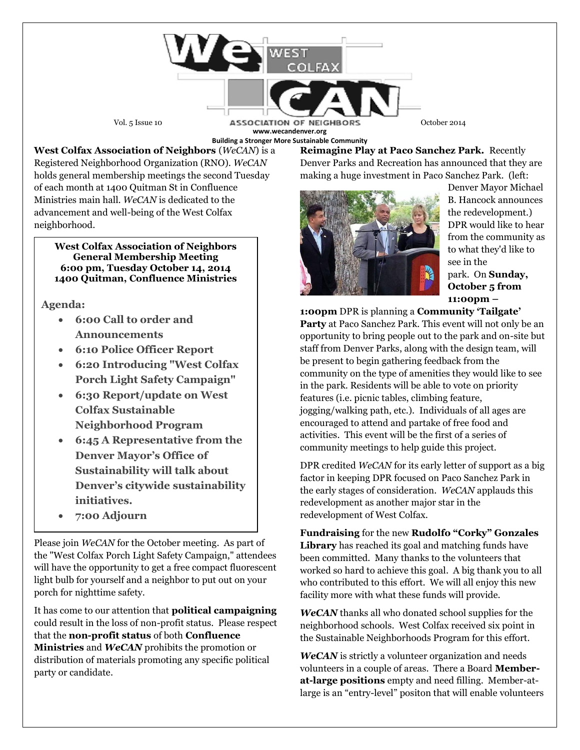Vol. 5 Issue 10 **ASSOCIATION OF NEIGHBORS** October 2014 **www.wecandenver.org Building a Stronger More Sustainable Community**

**West Colfax Association of Neighbors** (*WeCAN*) is a Registered Neighborhood Organization (RNO). *WeCAN*  holds general membership meetings the second Tuesday of each month at 1400 Quitman St in Confluence Ministries main hall. *WeCAN* is dedicated to the advancement and well-being of the West Colfax neighborhood.

**West Colfax Association of Neighbors General Membership Meeting 6:00 pm, Tuesday October 14, 2014 1400 Quitman, Confluence Ministries** 

**Agenda:**

- **6:00 Call to order and Announcements**
- **6:10 Police Officer Report**
- **6:20 Introducing "West Colfax Porch Light Safety Campaign"**
- **6:30 Report/update on West Colfax Sustainable Neighborhood Program**
- **6:45 A Representative from the Denver Mayor's Office of Sustainability will talk about Denver's citywide sustainability initiatives.**
- **7:00 Adjourn**

Please join *WeCAN* for the October meeting. As part of the "West Colfax Porch Light Safety Campaign," attendees will have the opportunity to get a free compact fluorescent light bulb for yourself and a neighbor to put out on your porch for nighttime safety.

It has come to our attention that **political campaigning** could result in the loss of non-profit status. Please respect that the **non-profit status** of both **Confluence Ministries** and *WeCAN* prohibits the promotion or distribution of materials promoting any specific political party or candidate.

**Reimagine Play at Paco Sanchez Park.** Recently Denver Parks and Recreation has announced that they are making a huge investment in Paco Sanchez Park. (left:



Denver Mayor Michael B. Hancock announces the redevelopment.) DPR would like to hear from the community as to what they'd like to see in the park. On **Sunday, October 5 from 11:00pm –**

**1:00pm** DPR is planning a **Community 'Tailgate' Party** at Paco Sanchez Park. This event will not only be an opportunity to bring people out to the park and on-site but staff from Denver Parks, along with the design team, will be present to begin gathering feedback from the community on the type of amenities they would like to see in the park. Residents will be able to vote on priority features (i.e. picnic tables, climbing feature, jogging/walking path, etc.). Individuals of all ages are encouraged to attend and partake of free food and activities. This event will be the first of a series of community meetings to help guide this project.

DPR credited *WeCAN* for its early letter of support as a big factor in keeping DPR focused on Paco Sanchez Park in the early stages of consideration. *WeCAN* applauds this redevelopment as another major star in the redevelopment of West Colfax.

**Fundraising** for the new **Rudolfo "Corky" Gonzales Library** has reached its goal and matching funds have been committed. Many thanks to the volunteers that worked so hard to achieve this goal. A big thank you to all who contributed to this effort. We will all enjoy this new facility more with what these funds will provide.

*WeCAN* thanks all who donated school supplies for the neighborhood schools. West Colfax received six point in the Sustainable Neighborhoods Program for this effort.

*WeCAN* is strictly a volunteer organization and needs volunteers in a couple of areas. There a Board **Memberat-large positions** empty and need filling. Member-atlarge is an "entry-level" positon that will enable volunteers